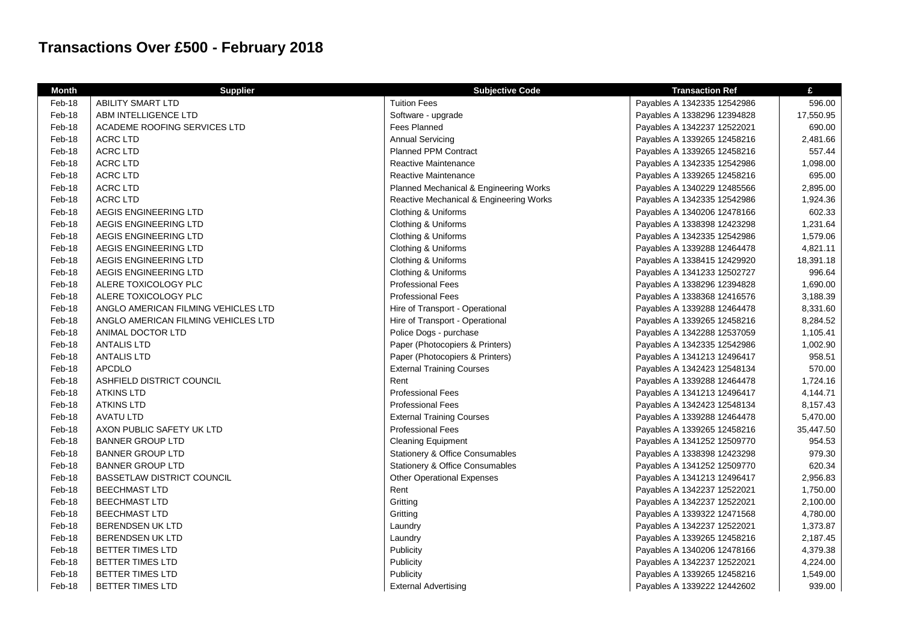## **Transactions Over £500 - February 2018**

| <b>Month</b> | <b>Supplier</b>                     | <b>Subjective Code</b>                  | <b>Transaction Ref</b>      | £         |
|--------------|-------------------------------------|-----------------------------------------|-----------------------------|-----------|
| Feb-18       | <b>ABILITY SMART LTD</b>            | <b>Tuition Fees</b>                     | Payables A 1342335 12542986 | 596.00    |
| Feb-18       | ABM INTELLIGENCE LTD                | Software - upgrade                      | Payables A 1338296 12394828 | 17,550.95 |
| Feb-18       | ACADEME ROOFING SERVICES LTD        | <b>Fees Planned</b>                     | Payables A 1342237 12522021 | 690.00    |
| Feb-18       | <b>ACRC LTD</b>                     | Annual Servicing                        | Payables A 1339265 12458216 | 2,481.66  |
| Feb-18       | <b>ACRC LTD</b>                     | <b>Planned PPM Contract</b>             | Payables A 1339265 12458216 | 557.44    |
| Feb-18       | <b>ACRC LTD</b>                     | Reactive Maintenance                    | Payables A 1342335 12542986 | 1,098.00  |
| Feb-18       | <b>ACRC LTD</b>                     | Reactive Maintenance                    | Payables A 1339265 12458216 | 695.00    |
| Feb-18       | <b>ACRC LTD</b>                     | Planned Mechanical & Engineering Works  | Payables A 1340229 12485566 | 2,895.00  |
| Feb-18       | <b>ACRC LTD</b>                     | Reactive Mechanical & Engineering Works | Payables A 1342335 12542986 | 1,924.36  |
| Feb-18       | AEGIS ENGINEERING LTD               | Clothing & Uniforms                     | Payables A 1340206 12478166 | 602.33    |
| Feb-18       | AEGIS ENGINEERING LTD               | Clothing & Uniforms                     | Payables A 1338398 12423298 | 1,231.64  |
| Feb-18       | AEGIS ENGINEERING LTD               | Clothing & Uniforms                     | Payables A 1342335 12542986 | 1,579.06  |
| Feb-18       | AEGIS ENGINEERING LTD               | Clothing & Uniforms                     | Payables A 1339288 12464478 | 4,821.11  |
| Feb-18       | AEGIS ENGINEERING LTD               | Clothing & Uniforms                     | Payables A 1338415 12429920 | 18,391.18 |
| Feb-18       | AEGIS ENGINEERING LTD               | Clothing & Uniforms                     | Payables A 1341233 12502727 | 996.64    |
| Feb-18       | ALERE TOXICOLOGY PLC                | <b>Professional Fees</b>                | Payables A 1338296 12394828 | 1,690.00  |
| Feb-18       | ALERE TOXICOLOGY PLC                | <b>Professional Fees</b>                | Payables A 1338368 12416576 | 3,188.39  |
| Feb-18       | ANGLO AMERICAN FILMING VEHICLES LTD | Hire of Transport - Operational         | Payables A 1339288 12464478 | 8,331.60  |
| Feb-18       | ANGLO AMERICAN FILMING VEHICLES LTD | Hire of Transport - Operational         | Payables A 1339265 12458216 | 8,284.52  |
| Feb-18       | ANIMAL DOCTOR LTD                   | Police Dogs - purchase                  | Payables A 1342288 12537059 | 1,105.41  |
| Feb-18       | <b>ANTALIS LTD</b>                  | Paper (Photocopiers & Printers)         | Payables A 1342335 12542986 | 1,002.90  |
| Feb-18       | <b>ANTALIS LTD</b>                  | Paper (Photocopiers & Printers)         | Payables A 1341213 12496417 | 958.51    |
| Feb-18       | <b>APCDLO</b>                       | <b>External Training Courses</b>        | Payables A 1342423 12548134 | 570.00    |
| Feb-18       | ASHFIELD DISTRICT COUNCIL           | Rent                                    | Payables A 1339288 12464478 | 1,724.16  |
| Feb-18       | <b>ATKINS LTD</b>                   | <b>Professional Fees</b>                | Payables A 1341213 12496417 | 4,144.71  |
| Feb-18       | <b>ATKINS LTD</b>                   | <b>Professional Fees</b>                | Payables A 1342423 12548134 | 8,157.43  |
| Feb-18       | <b>AVATU LTD</b>                    | <b>External Training Courses</b>        | Payables A 1339288 12464478 | 5,470.00  |
| Feb-18       | AXON PUBLIC SAFETY UK LTD           | <b>Professional Fees</b>                | Payables A 1339265 12458216 | 35,447.50 |
| Feb-18       | <b>BANNER GROUP LTD</b>             | <b>Cleaning Equipment</b>               | Payables A 1341252 12509770 | 954.53    |
| Feb-18       | <b>BANNER GROUP LTD</b>             | Stationery & Office Consumables         | Payables A 1338398 12423298 | 979.30    |
| Feb-18       | <b>BANNER GROUP LTD</b>             | Stationery & Office Consumables         | Payables A 1341252 12509770 | 620.34    |
| Feb-18       | <b>BASSETLAW DISTRICT COUNCIL</b>   | <b>Other Operational Expenses</b>       | Payables A 1341213 12496417 | 2,956.83  |
| Feb-18       | <b>BEECHMAST LTD</b>                | Rent                                    | Payables A 1342237 12522021 | 1,750.00  |
| Feb-18       | <b>BEECHMAST LTD</b>                | Gritting                                | Payables A 1342237 12522021 | 2,100.00  |
| Feb-18       | <b>BEECHMAST LTD</b>                | Gritting                                | Payables A 1339322 12471568 | 4,780.00  |
| Feb-18       | <b>BERENDSEN UK LTD</b>             | Laundry                                 | Payables A 1342237 12522021 | 1,373.87  |
| Feb-18       | <b>BERENDSEN UK LTD</b>             | Laundry                                 | Payables A 1339265 12458216 | 2,187.45  |
| Feb-18       | <b>BETTER TIMES LTD</b>             | Publicity                               | Payables A 1340206 12478166 | 4,379.38  |
| Feb-18       | BETTER TIMES LTD                    | Publicity                               | Payables A 1342237 12522021 | 4,224.00  |
| Feb-18       | <b>BETTER TIMES LTD</b>             | Publicity                               | Payables A 1339265 12458216 | 1,549.00  |
| Feb-18       | <b>BETTER TIMES LTD</b>             | <b>External Advertising</b>             | Payables A 1339222 12442602 | 939.00    |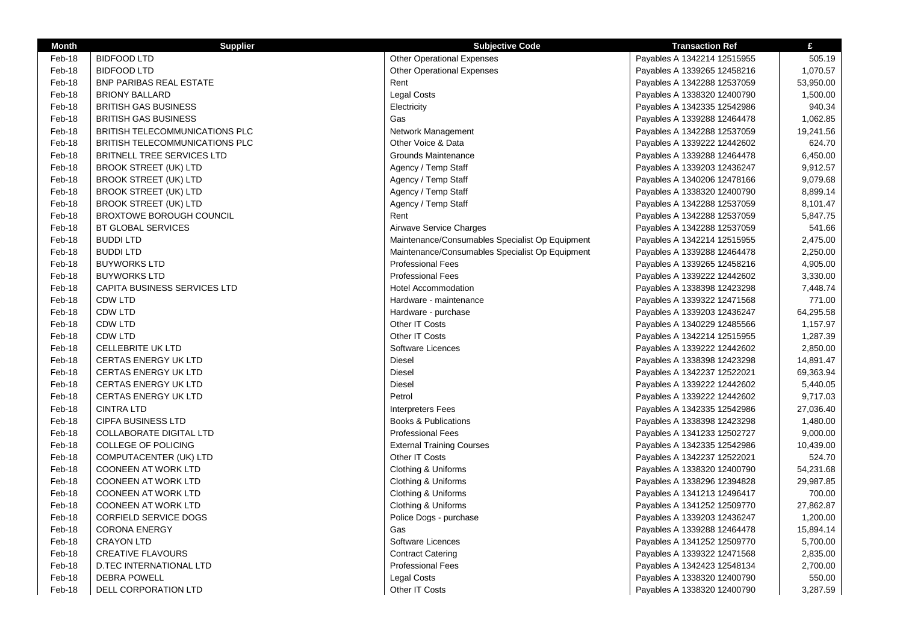| <b>Month</b> | <b>Supplier</b>                       | <b>Subjective Code</b>                          | <b>Transaction Ref</b>      | £         |
|--------------|---------------------------------------|-------------------------------------------------|-----------------------------|-----------|
| Feb-18       | <b>BIDFOOD LTD</b>                    | <b>Other Operational Expenses</b>               | Payables A 1342214 12515955 | 505.19    |
| Feb-18       | <b>BIDFOOD LTD</b>                    | <b>Other Operational Expenses</b>               | Payables A 1339265 12458216 | 1,070.57  |
| Feb-18       | <b>BNP PARIBAS REAL ESTATE</b>        | Rent                                            | Payables A 1342288 12537059 | 53,950.00 |
| Feb-18       | <b>BRIONY BALLARD</b>                 | <b>Legal Costs</b>                              | Payables A 1338320 12400790 | 1,500.00  |
| Feb-18       | <b>BRITISH GAS BUSINESS</b>           | Electricity                                     | Payables A 1342335 12542986 | 940.34    |
| Feb-18       | <b>BRITISH GAS BUSINESS</b>           | Gas                                             | Payables A 1339288 12464478 | 1,062.85  |
| Feb-18       | BRITISH TELECOMMUNICATIONS PLC        | Network Management                              | Payables A 1342288 12537059 | 19,241.56 |
| Feb-18       | <b>BRITISH TELECOMMUNICATIONS PLC</b> | Other Voice & Data                              | Payables A 1339222 12442602 | 624.70    |
| Feb-18       | BRITNELL TREE SERVICES LTD            | Grounds Maintenance                             | Payables A 1339288 12464478 | 6,450.00  |
| Feb-18       | <b>BROOK STREET (UK) LTD</b>          | Agency / Temp Staff                             | Payables A 1339203 12436247 | 9,912.57  |
| Feb-18       | <b>BROOK STREET (UK) LTD</b>          | Agency / Temp Staff                             | Payables A 1340206 12478166 | 9,079.68  |
| Feb-18       | <b>BROOK STREET (UK) LTD</b>          | Agency / Temp Staff                             | Payables A 1338320 12400790 | 8,899.14  |
| Feb-18       | <b>BROOK STREET (UK) LTD</b>          | Agency / Temp Staff                             | Payables A 1342288 12537059 | 8,101.47  |
| Feb-18       | <b>BROXTOWE BOROUGH COUNCIL</b>       | Rent                                            | Payables A 1342288 12537059 | 5,847.75  |
| Feb-18       | <b>BT GLOBAL SERVICES</b>             | Airwave Service Charges                         | Payables A 1342288 12537059 | 541.66    |
| Feb-18       | <b>BUDDI LTD</b>                      | Maintenance/Consumables Specialist Op Equipment | Payables A 1342214 12515955 | 2,475.00  |
| Feb-18       | <b>BUDDI LTD</b>                      | Maintenance/Consumables Specialist Op Equipment | Payables A 1339288 12464478 | 2,250.00  |
| Feb-18       | <b>BUYWORKS LTD</b>                   | <b>Professional Fees</b>                        | Payables A 1339265 12458216 | 4,905.00  |
| Feb-18       | <b>BUYWORKS LTD</b>                   | <b>Professional Fees</b>                        | Payables A 1339222 12442602 | 3,330.00  |
| Feb-18       | <b>CAPITA BUSINESS SERVICES LTD</b>   | <b>Hotel Accommodation</b>                      | Payables A 1338398 12423298 | 7,448.74  |
| Feb-18       | <b>CDW LTD</b>                        | Hardware - maintenance                          | Payables A 1339322 12471568 | 771.00    |
| Feb-18       | CDW LTD                               | Hardware - purchase                             | Payables A 1339203 12436247 | 64,295.58 |
| Feb-18       | CDW LTD                               | Other IT Costs                                  | Payables A 1340229 12485566 | 1,157.97  |
| Feb-18       | CDW LTD                               | Other IT Costs                                  | Payables A 1342214 12515955 | 1,287.39  |
| Feb-18       | <b>CELLEBRITE UK LTD</b>              | Software Licences                               | Payables A 1339222 12442602 | 2,850.00  |
| Feb-18       | <b>CERTAS ENERGY UK LTD</b>           | Diesel                                          | Payables A 1338398 12423298 | 14,891.47 |
| Feb-18       | <b>CERTAS ENERGY UK LTD</b>           | Diesel                                          | Payables A 1342237 12522021 | 69,363.94 |
| Feb-18       | <b>CERTAS ENERGY UK LTD</b>           | <b>Diesel</b>                                   | Payables A 1339222 12442602 | 5,440.05  |
| Feb-18       | <b>CERTAS ENERGY UK LTD</b>           | Petrol                                          | Payables A 1339222 12442602 | 9,717.03  |
| Feb-18       | <b>CINTRA LTD</b>                     | <b>Interpreters Fees</b>                        | Payables A 1342335 12542986 | 27,036.40 |
| Feb-18       | <b>CIPFA BUSINESS LTD</b>             | <b>Books &amp; Publications</b>                 | Payables A 1338398 12423298 | 1,480.00  |
| Feb-18       | <b>COLLABORATE DIGITAL LTD</b>        | <b>Professional Fees</b>                        | Payables A 1341233 12502727 | 9,000.00  |
| Feb-18       | <b>COLLEGE OF POLICING</b>            | <b>External Training Courses</b>                | Payables A 1342335 12542986 | 10,439.00 |
| Feb-18       | COMPUTACENTER (UK) LTD                | Other IT Costs                                  | Payables A 1342237 12522021 | 524.70    |
| Feb-18       | <b>COONEEN AT WORK LTD</b>            | Clothing & Uniforms                             | Payables A 1338320 12400790 | 54,231.68 |
| Feb-18       | <b>COONEEN AT WORK LTD</b>            | Clothing & Uniforms                             | Payables A 1338296 12394828 | 29,987.85 |
| Feb-18       | <b>COONEEN AT WORK LTD</b>            | Clothing & Uniforms                             | Payables A 1341213 12496417 | 700.00    |
| Feb-18       | <b>COONEEN AT WORK LTD</b>            | Clothing & Uniforms                             | Payables A 1341252 12509770 | 27,862.87 |
| Feb-18       | <b>CORFIELD SERVICE DOGS</b>          | Police Dogs - purchase                          | Payables A 1339203 12436247 | 1,200.00  |
| Feb-18       | <b>CORONA ENERGY</b>                  | Gas                                             | Payables A 1339288 12464478 | 15,894.14 |
| Feb-18       | <b>CRAYON LTD</b>                     | Software Licences                               | Payables A 1341252 12509770 | 5,700.00  |
| Feb-18       | <b>CREATIVE FLAVOURS</b>              | <b>Contract Catering</b>                        | Payables A 1339322 12471568 | 2,835.00  |
| Feb-18       | D.TEC INTERNATIONAL LTD               | <b>Professional Fees</b>                        | Payables A 1342423 12548134 | 2,700.00  |
| Feb-18       | <b>DEBRA POWELL</b>                   | <b>Legal Costs</b>                              | Payables A 1338320 12400790 | 550.00    |
| Feb-18       | DELL CORPORATION LTD                  | Other IT Costs                                  | Payables A 1338320 12400790 | 3,287.59  |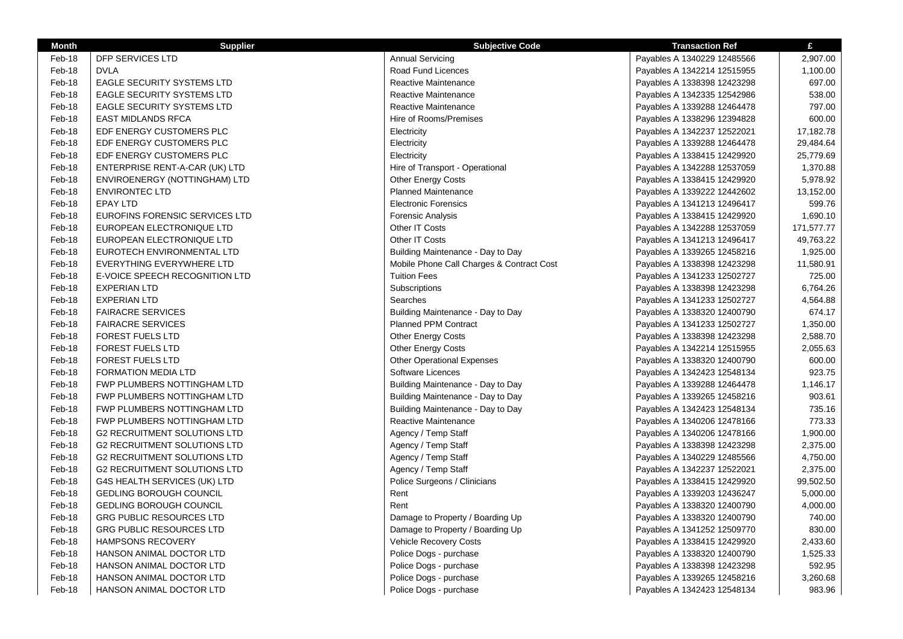| <b>Month</b> | <b>Supplier</b>                     | <b>Subjective Code</b>                    | <b>Transaction Ref</b>      | £          |
|--------------|-------------------------------------|-------------------------------------------|-----------------------------|------------|
| Feb-18       | <b>DFP SERVICES LTD</b>             | <b>Annual Servicing</b>                   | Payables A 1340229 12485566 | 2,907.00   |
| Feb-18       | <b>DVLA</b>                         | Road Fund Licences                        | Payables A 1342214 12515955 | 1,100.00   |
| Feb-18       | EAGLE SECURITY SYSTEMS LTD          | Reactive Maintenance                      | Payables A 1338398 12423298 | 697.00     |
| Feb-18       | <b>EAGLE SECURITY SYSTEMS LTD</b>   | Reactive Maintenance                      | Payables A 1342335 12542986 | 538.00     |
| Feb-18       | <b>EAGLE SECURITY SYSTEMS LTD</b>   | Reactive Maintenance                      | Payables A 1339288 12464478 | 797.00     |
| Feb-18       | <b>EAST MIDLANDS RFCA</b>           | Hire of Rooms/Premises                    | Payables A 1338296 12394828 | 600.00     |
| Feb-18       | EDF ENERGY CUSTOMERS PLC            | Electricity                               | Payables A 1342237 12522021 | 17,182.78  |
| Feb-18       | EDF ENERGY CUSTOMERS PLC            | Electricity                               | Payables A 1339288 12464478 | 29,484.64  |
| Feb-18       | EDF ENERGY CUSTOMERS PLC            | Electricity                               | Payables A 1338415 12429920 | 25,779.69  |
| Feb-18       | ENTERPRISE RENT-A-CAR (UK) LTD      | Hire of Transport - Operational           | Payables A 1342288 12537059 | 1,370.88   |
| Feb-18       | ENVIROENERGY (NOTTINGHAM) LTD       | <b>Other Energy Costs</b>                 | Payables A 1338415 12429920 | 5,978.92   |
| Feb-18       | <b>ENVIRONTEC LTD</b>               | <b>Planned Maintenance</b>                | Payables A 1339222 12442602 | 13,152.00  |
| Feb-18       | <b>EPAY LTD</b>                     | <b>Electronic Forensics</b>               | Payables A 1341213 12496417 | 599.76     |
| Feb-18       | EUROFINS FORENSIC SERVICES LTD      | Forensic Analysis                         | Payables A 1338415 12429920 | 1,690.10   |
| Feb-18       | EUROPEAN ELECTRONIQUE LTD           | Other IT Costs                            | Payables A 1342288 12537059 | 171,577.77 |
| Feb-18       | EUROPEAN ELECTRONIQUE LTD           | Other IT Costs                            | Payables A 1341213 12496417 | 49,763.22  |
| Feb-18       | EUROTECH ENVIRONMENTAL LTD          | Building Maintenance - Day to Day         | Payables A 1339265 12458216 | 1,925.00   |
| Feb-18       | EVERYTHING EVERYWHERE LTD           | Mobile Phone Call Charges & Contract Cost | Payables A 1338398 12423298 | 11,580.91  |
| Feb-18       | E-VOICE SPEECH RECOGNITION LTD      | <b>Tuition Fees</b>                       | Payables A 1341233 12502727 | 725.00     |
| Feb-18       | <b>EXPERIAN LTD</b>                 | Subscriptions                             | Payables A 1338398 12423298 | 6,764.26   |
| Feb-18       | <b>EXPERIAN LTD</b>                 | Searches                                  | Payables A 1341233 12502727 | 4,564.88   |
| Feb-18       | <b>FAIRACRE SERVICES</b>            | Building Maintenance - Day to Day         | Payables A 1338320 12400790 | 674.17     |
| Feb-18       | <b>FAIRACRE SERVICES</b>            | Planned PPM Contract                      | Payables A 1341233 12502727 | 1,350.00   |
| Feb-18       | <b>FOREST FUELS LTD</b>             | <b>Other Energy Costs</b>                 | Payables A 1338398 12423298 | 2,588.70   |
| Feb-18       | <b>FOREST FUELS LTD</b>             | <b>Other Energy Costs</b>                 | Payables A 1342214 12515955 | 2,055.63   |
| Feb-18       | <b>FOREST FUELS LTD</b>             | <b>Other Operational Expenses</b>         | Payables A 1338320 12400790 | 600.00     |
| Feb-18       | <b>FORMATION MEDIA LTD</b>          | Software Licences                         | Payables A 1342423 12548134 | 923.75     |
| Feb-18       | FWP PLUMBERS NOTTINGHAM LTD         | Building Maintenance - Day to Day         | Payables A 1339288 12464478 | 1,146.17   |
| Feb-18       | FWP PLUMBERS NOTTINGHAM LTD         | Building Maintenance - Day to Day         | Payables A 1339265 12458216 | 903.61     |
| Feb-18       | FWP PLUMBERS NOTTINGHAM LTD         | Building Maintenance - Day to Day         | Payables A 1342423 12548134 | 735.16     |
| Feb-18       | FWP PLUMBERS NOTTINGHAM LTD         | Reactive Maintenance                      | Payables A 1340206 12478166 | 773.33     |
| Feb-18       | <b>G2 RECRUITMENT SOLUTIONS LTD</b> | Agency / Temp Staff                       | Payables A 1340206 12478166 | 1,900.00   |
| Feb-18       | <b>G2 RECRUITMENT SOLUTIONS LTD</b> | Agency / Temp Staff                       | Payables A 1338398 12423298 | 2,375.00   |
| Feb-18       | <b>G2 RECRUITMENT SOLUTIONS LTD</b> | Agency / Temp Staff                       | Payables A 1340229 12485566 | 4,750.00   |
| Feb-18       | <b>G2 RECRUITMENT SOLUTIONS LTD</b> | Agency / Temp Staff                       | Payables A 1342237 12522021 | 2,375.00   |
| Feb-18       | G4S HEALTH SERVICES (UK) LTD        | Police Surgeons / Clinicians              | Payables A 1338415 12429920 | 99,502.50  |
| Feb-18       | <b>GEDLING BOROUGH COUNCIL</b>      | Rent                                      | Payables A 1339203 12436247 | 5,000.00   |
| Feb-18       | GEDLING BOROUGH COUNCIL             | Rent                                      | Payables A 1338320 12400790 | 4,000.00   |
| Feb-18       | GRG PUBLIC RESOURCES LTD            | Damage to Property / Boarding Up          | Payables A 1338320 12400790 | 740.00     |
| Feb-18       | <b>GRG PUBLIC RESOURCES LTD</b>     | Damage to Property / Boarding Up          | Payables A 1341252 12509770 | 830.00     |
| Feb-18       | <b>HAMPSONS RECOVERY</b>            | Vehicle Recovery Costs                    | Payables A 1338415 12429920 | 2,433.60   |
| Feb-18       | HANSON ANIMAL DOCTOR LTD            | Police Dogs - purchase                    | Payables A 1338320 12400790 | 1,525.33   |
| Feb-18       | HANSON ANIMAL DOCTOR LTD            | Police Dogs - purchase                    | Payables A 1338398 12423298 | 592.95     |
| Feb-18       | <b>HANSON ANIMAL DOCTOR LTD</b>     | Police Dogs - purchase                    | Payables A 1339265 12458216 | 3,260.68   |
| Feb-18       | HANSON ANIMAL DOCTOR LTD            | Police Dogs - purchase                    | Payables A 1342423 12548134 | 983.96     |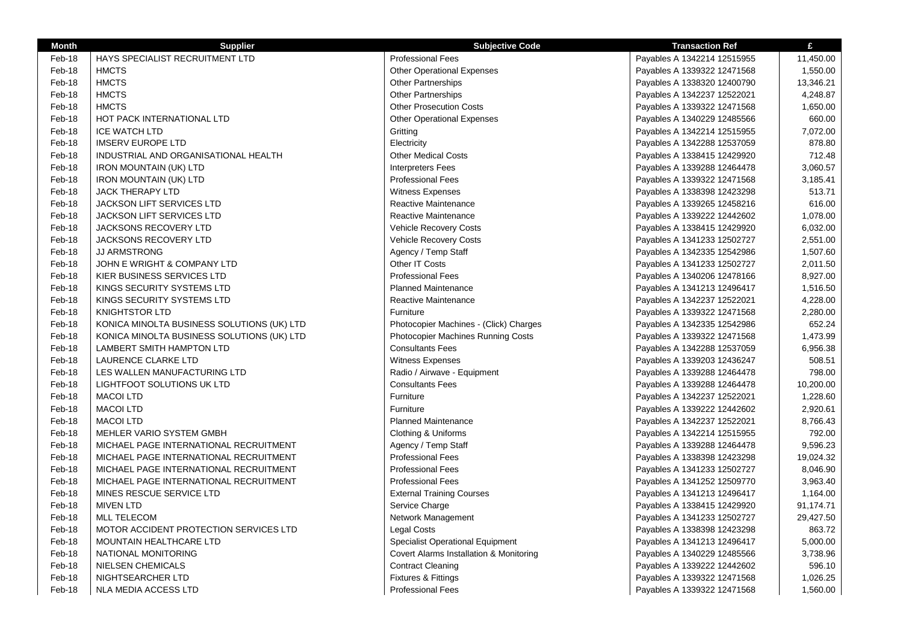| Month  | <b>Supplier</b>                            | <b>Subjective Code</b>                    | <b>Transaction Ref</b>      | £         |
|--------|--------------------------------------------|-------------------------------------------|-----------------------------|-----------|
| Feb-18 | HAYS SPECIALIST RECRUITMENT LTD            | <b>Professional Fees</b>                  | Payables A 1342214 12515955 | 11,450.00 |
| Feb-18 | <b>HMCTS</b>                               | <b>Other Operational Expenses</b>         | Payables A 1339322 12471568 | 1,550.00  |
| Feb-18 | <b>HMCTS</b>                               | <b>Other Partnerships</b>                 | Payables A 1338320 12400790 | 13,346.21 |
| Feb-18 | <b>HMCTS</b>                               | <b>Other Partnerships</b>                 | Payables A 1342237 12522021 | 4,248.87  |
| Feb-18 | <b>HMCTS</b>                               | <b>Other Prosecution Costs</b>            | Payables A 1339322 12471568 | 1,650.00  |
| Feb-18 | <b>HOT PACK INTERNATIONAL LTD</b>          | <b>Other Operational Expenses</b>         | Payables A 1340229 12485566 | 660.00    |
| Feb-18 | <b>ICE WATCH LTD</b>                       | Gritting                                  | Payables A 1342214 12515955 | 7,072.00  |
| Feb-18 | <b>IMSERV EUROPE LTD</b>                   | Electricity                               | Payables A 1342288 12537059 | 878.80    |
| Feb-18 | INDUSTRIAL AND ORGANISATIONAL HEALTH       | <b>Other Medical Costs</b>                | Payables A 1338415 12429920 | 712.48    |
| Feb-18 | <b>IRON MOUNTAIN (UK) LTD</b>              | <b>Interpreters Fees</b>                  | Payables A 1339288 12464478 | 3,060.57  |
| Feb-18 | <b>IRON MOUNTAIN (UK) LTD</b>              | <b>Professional Fees</b>                  | Payables A 1339322 12471568 | 3,185.41  |
| Feb-18 | <b>JACK THERAPY LTD</b>                    | <b>Witness Expenses</b>                   | Payables A 1338398 12423298 | 513.71    |
| Feb-18 | <b>JACKSON LIFT SERVICES LTD</b>           | Reactive Maintenance                      | Payables A 1339265 12458216 | 616.00    |
| Feb-18 | <b>JACKSON LIFT SERVICES LTD</b>           | Reactive Maintenance                      | Payables A 1339222 12442602 | 1,078.00  |
| Feb-18 | JACKSONS RECOVERY LTD                      | <b>Vehicle Recovery Costs</b>             | Payables A 1338415 12429920 | 6,032.00  |
| Feb-18 | JACKSONS RECOVERY LTD                      | Vehicle Recovery Costs                    | Payables A 1341233 12502727 | 2,551.00  |
| Feb-18 | <b>JJ ARMSTRONG</b>                        | Agency / Temp Staff                       | Payables A 1342335 12542986 | 1,507.60  |
| Feb-18 | JOHN E WRIGHT & COMPANY LTD                | Other IT Costs                            | Payables A 1341233 12502727 | 2,011.50  |
| Feb-18 | KIER BUSINESS SERVICES LTD                 | <b>Professional Fees</b>                  | Payables A 1340206 12478166 | 8,927.00  |
| Feb-18 | KINGS SECURITY SYSTEMS LTD                 | <b>Planned Maintenance</b>                | Payables A 1341213 12496417 | 1,516.50  |
| Feb-18 | KINGS SECURITY SYSTEMS LTD                 | Reactive Maintenance                      | Payables A 1342237 12522021 | 4,228.00  |
| Feb-18 | <b>KNIGHTSTOR LTD</b>                      | Furniture                                 | Payables A 1339322 12471568 | 2,280.00  |
| Feb-18 | KONICA MINOLTA BUSINESS SOLUTIONS (UK) LTD | Photocopier Machines - (Click) Charges    | Payables A 1342335 12542986 | 652.24    |
| Feb-18 | KONICA MINOLTA BUSINESS SOLUTIONS (UK) LTD | <b>Photocopier Machines Running Costs</b> | Payables A 1339322 12471568 | 1,473.99  |
| Feb-18 | LAMBERT SMITH HAMPTON LTD                  | <b>Consultants Fees</b>                   | Payables A 1342288 12537059 | 6,956.38  |
| Feb-18 | LAURENCE CLARKE LTD                        | <b>Witness Expenses</b>                   | Payables A 1339203 12436247 | 508.51    |
| Feb-18 | LES WALLEN MANUFACTURING LTD               | Radio / Airwave - Equipment               | Payables A 1339288 12464478 | 798.00    |
| Feb-18 | LIGHTFOOT SOLUTIONS UK LTD                 | <b>Consultants Fees</b>                   | Payables A 1339288 12464478 | 10,200.00 |
| Feb-18 | <b>MACOI LTD</b>                           | Furniture                                 | Payables A 1342237 12522021 | 1,228.60  |
| Feb-18 | <b>MACOI LTD</b>                           | Furniture                                 | Payables A 1339222 12442602 | 2,920.61  |
| Feb-18 | <b>MACOI LTD</b>                           | Planned Maintenance                       | Payables A 1342237 12522021 | 8,766.43  |
| Feb-18 | MEHLER VARIO SYSTEM GMBH                   | Clothing & Uniforms                       | Payables A 1342214 12515955 | 792.00    |
| Feb-18 | MICHAEL PAGE INTERNATIONAL RECRUITMENT     | Agency / Temp Staff                       | Payables A 1339288 12464478 | 9.596.23  |
| Feb-18 | MICHAEL PAGE INTERNATIONAL RECRUITMENT     | <b>Professional Fees</b>                  | Payables A 1338398 12423298 | 19,024.32 |
| Feb-18 | MICHAEL PAGE INTERNATIONAL RECRUITMENT     | <b>Professional Fees</b>                  | Payables A 1341233 12502727 | 8,046.90  |
| Feb-18 | MICHAEL PAGE INTERNATIONAL RECRUITMENT     | <b>Professional Fees</b>                  | Payables A 1341252 12509770 | 3,963.40  |
| Feb-18 | MINES RESCUE SERVICE LTD                   | <b>External Training Courses</b>          | Payables A 1341213 12496417 | 1,164.00  |
| Feb-18 | <b>MIVEN LTD</b>                           | Service Charge                            | Payables A 1338415 12429920 | 91,174.71 |
| Feb-18 | <b>MLL TELECOM</b>                         | Network Management                        | Payables A 1341233 12502727 | 29,427.50 |
| Feb-18 | MOTOR ACCIDENT PROTECTION SERVICES LTD     | Legal Costs                               | Payables A 1338398 12423298 | 863.72    |
| Feb-18 | MOUNTAIN HEALTHCARE LTD                    | Specialist Operational Equipment          | Payables A 1341213 12496417 | 5,000.00  |
| Feb-18 | NATIONAL MONITORING                        | Covert Alarms Installation & Monitoring   | Payables A 1340229 12485566 | 3,738.96  |
| Feb-18 | <b>NIELSEN CHEMICALS</b>                   | <b>Contract Cleaning</b>                  | Payables A 1339222 12442602 | 596.10    |
| Feb-18 | NIGHTSEARCHER LTD                          | Fixtures & Fittings                       | Payables A 1339322 12471568 | 1,026.25  |
| Feb-18 | NLA MEDIA ACCESS LTD                       | <b>Professional Fees</b>                  | Payables A 1339322 12471568 | 1,560.00  |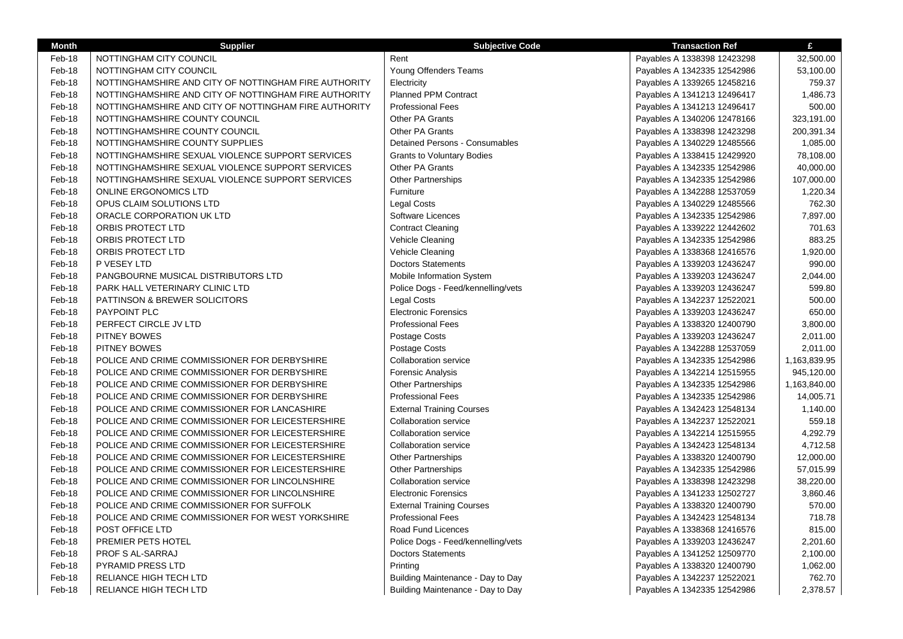| Rent<br>NOTTINGHAM CITY COUNCIL<br>Payables A 1338398 12423298<br>32,500.00<br>Feb-18<br>Feb-18<br>NOTTINGHAM CITY COUNCIL<br>Young Offenders Teams<br>Payables A 1342335 12542986<br>53,100.00<br>Feb-18<br>NOTTINGHAMSHIRE AND CITY OF NOTTINGHAM FIRE AUTHORITY<br>759.37<br>Electricity<br>Payables A 1339265 12458216<br>Feb-18<br>NOTTINGHAMSHIRE AND CITY OF NOTTINGHAM FIRE AUTHORITY<br><b>Planned PPM Contract</b><br>1,486.73<br>Payables A 1341213 12496417<br>Feb-18<br>NOTTINGHAMSHIRE AND CITY OF NOTTINGHAM FIRE AUTHORITY<br><b>Professional Fees</b><br>500.00<br>Payables A 1341213 12496417<br>Feb-18<br><b>Other PA Grants</b><br>323,191.00<br>NOTTINGHAMSHIRE COUNTY COUNCIL<br>Payables A 1340206 12478166<br>Feb-18<br>NOTTINGHAMSHIRE COUNTY COUNCIL<br><b>Other PA Grants</b><br>200,391.34<br>Payables A 1338398 12423298<br>Feb-18<br><b>Detained Persons - Consumables</b><br>NOTTINGHAMSHIRE COUNTY SUPPLIES<br>Payables A 1340229 12485566<br>1,085.00<br>Feb-18<br>NOTTINGHAMSHIRE SEXUAL VIOLENCE SUPPORT SERVICES<br><b>Grants to Voluntary Bodies</b><br>78,108.00<br>Payables A 1338415 12429920<br>Feb-18<br><b>Other PA Grants</b><br>NOTTINGHAMSHIRE SEXUAL VIOLENCE SUPPORT SERVICES<br>Payables A 1342335 12542986<br>40,000.00<br>Feb-18<br>NOTTINGHAMSHIRE SEXUAL VIOLENCE SUPPORT SERVICES<br><b>Other Partnerships</b><br>107,000.00<br>Payables A 1342335 12542986<br>Feb-18<br>Furniture<br>1,220.34<br><b>ONLINE ERGONOMICS LTD</b><br>Payables A 1342288 12537059<br>Feb-18<br>OPUS CLAIM SOLUTIONS LTD<br><b>Legal Costs</b><br>762.30<br>Payables A 1340229 12485566<br>Software Licences<br>Feb-18<br>7,897.00<br>ORACLE CORPORATION UK LTD<br>Payables A 1342335 12542986<br><b>Contract Cleaning</b><br>Feb-18<br>ORBIS PROTECT LTD<br>701.63<br>Payables A 1339222 12442602<br>883.25<br>Feb-18<br>ORBIS PROTECT LTD<br>Vehicle Cleaning<br>Payables A 1342335 12542986<br>Feb-18<br>ORBIS PROTECT LTD<br>Vehicle Cleaning<br>1,920.00<br>Payables A 1338368 12416576<br><b>Doctors Statements</b><br>Feb-18<br>P VESEY LTD<br>990.00<br>Payables A 1339203 12436247<br>Mobile Information System<br>Feb-18<br>PANGBOURNE MUSICAL DISTRIBUTORS LTD<br>2,044.00<br>Payables A 1339203 12436247<br>Feb-18<br>PARK HALL VETERINARY CLINIC LTD<br>Police Dogs - Feed/kennelling/vets<br>599.80<br>Payables A 1339203 12436247<br>Legal Costs<br>Feb-18<br>PATTINSON & BREWER SOLICITORS<br>500.00<br>Payables A 1342237 12522021<br><b>Electronic Forensics</b><br>Feb-18<br>PAYPOINT PLC<br>650.00<br>Payables A 1339203 12436247<br>Feb-18<br>PERFECT CIRCLE JV LTD<br><b>Professional Fees</b><br>3,800.00<br>Payables A 1338320 12400790<br>Feb-18<br>PITNEY BOWES<br>Postage Costs<br>2,011.00<br>Payables A 1339203 12436247<br>Feb-18<br>PITNEY BOWES<br>Postage Costs<br>Payables A 1342288 12537059<br>2,011.00<br>Feb-18<br>POLICE AND CRIME COMMISSIONER FOR DERBYSHIRE<br><b>Collaboration service</b><br>1,163,839.95<br>Payables A 1342335 12542986<br>Feb-18<br>POLICE AND CRIME COMMISSIONER FOR DERBYSHIRE<br>Forensic Analysis<br>945,120.00<br>Payables A 1342214 12515955 |
|---------------------------------------------------------------------------------------------------------------------------------------------------------------------------------------------------------------------------------------------------------------------------------------------------------------------------------------------------------------------------------------------------------------------------------------------------------------------------------------------------------------------------------------------------------------------------------------------------------------------------------------------------------------------------------------------------------------------------------------------------------------------------------------------------------------------------------------------------------------------------------------------------------------------------------------------------------------------------------------------------------------------------------------------------------------------------------------------------------------------------------------------------------------------------------------------------------------------------------------------------------------------------------------------------------------------------------------------------------------------------------------------------------------------------------------------------------------------------------------------------------------------------------------------------------------------------------------------------------------------------------------------------------------------------------------------------------------------------------------------------------------------------------------------------------------------------------------------------------------------------------------------------------------------------------------------------------------------------------------------------------------------------------------------------------------------------------------------------------------------------------------------------------------------------------------------------------------------------------------------------------------------------------------------------------------------------------------------------------------------------------------------------------------------------------------------------------------------------------------------------------------------------------------------------------------------------------------------------------------------------------------------------------------------------------------------------------------------------------------------------------------------------------------------------------------------------------------------------------------------------------------------------------------------------------------------------------------------------------------------------------------------------------------------------------------------------------------------------------------------------------------------------|
|                                                                                                                                                                                                                                                                                                                                                                                                                                                                                                                                                                                                                                                                                                                                                                                                                                                                                                                                                                                                                                                                                                                                                                                                                                                                                                                                                                                                                                                                                                                                                                                                                                                                                                                                                                                                                                                                                                                                                                                                                                                                                                                                                                                                                                                                                                                                                                                                                                                                                                                                                                                                                                                                                                                                                                                                                                                                                                                                                                                                                                                                                                                                                   |
|                                                                                                                                                                                                                                                                                                                                                                                                                                                                                                                                                                                                                                                                                                                                                                                                                                                                                                                                                                                                                                                                                                                                                                                                                                                                                                                                                                                                                                                                                                                                                                                                                                                                                                                                                                                                                                                                                                                                                                                                                                                                                                                                                                                                                                                                                                                                                                                                                                                                                                                                                                                                                                                                                                                                                                                                                                                                                                                                                                                                                                                                                                                                                   |
|                                                                                                                                                                                                                                                                                                                                                                                                                                                                                                                                                                                                                                                                                                                                                                                                                                                                                                                                                                                                                                                                                                                                                                                                                                                                                                                                                                                                                                                                                                                                                                                                                                                                                                                                                                                                                                                                                                                                                                                                                                                                                                                                                                                                                                                                                                                                                                                                                                                                                                                                                                                                                                                                                                                                                                                                                                                                                                                                                                                                                                                                                                                                                   |
|                                                                                                                                                                                                                                                                                                                                                                                                                                                                                                                                                                                                                                                                                                                                                                                                                                                                                                                                                                                                                                                                                                                                                                                                                                                                                                                                                                                                                                                                                                                                                                                                                                                                                                                                                                                                                                                                                                                                                                                                                                                                                                                                                                                                                                                                                                                                                                                                                                                                                                                                                                                                                                                                                                                                                                                                                                                                                                                                                                                                                                                                                                                                                   |
|                                                                                                                                                                                                                                                                                                                                                                                                                                                                                                                                                                                                                                                                                                                                                                                                                                                                                                                                                                                                                                                                                                                                                                                                                                                                                                                                                                                                                                                                                                                                                                                                                                                                                                                                                                                                                                                                                                                                                                                                                                                                                                                                                                                                                                                                                                                                                                                                                                                                                                                                                                                                                                                                                                                                                                                                                                                                                                                                                                                                                                                                                                                                                   |
|                                                                                                                                                                                                                                                                                                                                                                                                                                                                                                                                                                                                                                                                                                                                                                                                                                                                                                                                                                                                                                                                                                                                                                                                                                                                                                                                                                                                                                                                                                                                                                                                                                                                                                                                                                                                                                                                                                                                                                                                                                                                                                                                                                                                                                                                                                                                                                                                                                                                                                                                                                                                                                                                                                                                                                                                                                                                                                                                                                                                                                                                                                                                                   |
|                                                                                                                                                                                                                                                                                                                                                                                                                                                                                                                                                                                                                                                                                                                                                                                                                                                                                                                                                                                                                                                                                                                                                                                                                                                                                                                                                                                                                                                                                                                                                                                                                                                                                                                                                                                                                                                                                                                                                                                                                                                                                                                                                                                                                                                                                                                                                                                                                                                                                                                                                                                                                                                                                                                                                                                                                                                                                                                                                                                                                                                                                                                                                   |
|                                                                                                                                                                                                                                                                                                                                                                                                                                                                                                                                                                                                                                                                                                                                                                                                                                                                                                                                                                                                                                                                                                                                                                                                                                                                                                                                                                                                                                                                                                                                                                                                                                                                                                                                                                                                                                                                                                                                                                                                                                                                                                                                                                                                                                                                                                                                                                                                                                                                                                                                                                                                                                                                                                                                                                                                                                                                                                                                                                                                                                                                                                                                                   |
|                                                                                                                                                                                                                                                                                                                                                                                                                                                                                                                                                                                                                                                                                                                                                                                                                                                                                                                                                                                                                                                                                                                                                                                                                                                                                                                                                                                                                                                                                                                                                                                                                                                                                                                                                                                                                                                                                                                                                                                                                                                                                                                                                                                                                                                                                                                                                                                                                                                                                                                                                                                                                                                                                                                                                                                                                                                                                                                                                                                                                                                                                                                                                   |
|                                                                                                                                                                                                                                                                                                                                                                                                                                                                                                                                                                                                                                                                                                                                                                                                                                                                                                                                                                                                                                                                                                                                                                                                                                                                                                                                                                                                                                                                                                                                                                                                                                                                                                                                                                                                                                                                                                                                                                                                                                                                                                                                                                                                                                                                                                                                                                                                                                                                                                                                                                                                                                                                                                                                                                                                                                                                                                                                                                                                                                                                                                                                                   |
|                                                                                                                                                                                                                                                                                                                                                                                                                                                                                                                                                                                                                                                                                                                                                                                                                                                                                                                                                                                                                                                                                                                                                                                                                                                                                                                                                                                                                                                                                                                                                                                                                                                                                                                                                                                                                                                                                                                                                                                                                                                                                                                                                                                                                                                                                                                                                                                                                                                                                                                                                                                                                                                                                                                                                                                                                                                                                                                                                                                                                                                                                                                                                   |
|                                                                                                                                                                                                                                                                                                                                                                                                                                                                                                                                                                                                                                                                                                                                                                                                                                                                                                                                                                                                                                                                                                                                                                                                                                                                                                                                                                                                                                                                                                                                                                                                                                                                                                                                                                                                                                                                                                                                                                                                                                                                                                                                                                                                                                                                                                                                                                                                                                                                                                                                                                                                                                                                                                                                                                                                                                                                                                                                                                                                                                                                                                                                                   |
|                                                                                                                                                                                                                                                                                                                                                                                                                                                                                                                                                                                                                                                                                                                                                                                                                                                                                                                                                                                                                                                                                                                                                                                                                                                                                                                                                                                                                                                                                                                                                                                                                                                                                                                                                                                                                                                                                                                                                                                                                                                                                                                                                                                                                                                                                                                                                                                                                                                                                                                                                                                                                                                                                                                                                                                                                                                                                                                                                                                                                                                                                                                                                   |
|                                                                                                                                                                                                                                                                                                                                                                                                                                                                                                                                                                                                                                                                                                                                                                                                                                                                                                                                                                                                                                                                                                                                                                                                                                                                                                                                                                                                                                                                                                                                                                                                                                                                                                                                                                                                                                                                                                                                                                                                                                                                                                                                                                                                                                                                                                                                                                                                                                                                                                                                                                                                                                                                                                                                                                                                                                                                                                                                                                                                                                                                                                                                                   |
|                                                                                                                                                                                                                                                                                                                                                                                                                                                                                                                                                                                                                                                                                                                                                                                                                                                                                                                                                                                                                                                                                                                                                                                                                                                                                                                                                                                                                                                                                                                                                                                                                                                                                                                                                                                                                                                                                                                                                                                                                                                                                                                                                                                                                                                                                                                                                                                                                                                                                                                                                                                                                                                                                                                                                                                                                                                                                                                                                                                                                                                                                                                                                   |
|                                                                                                                                                                                                                                                                                                                                                                                                                                                                                                                                                                                                                                                                                                                                                                                                                                                                                                                                                                                                                                                                                                                                                                                                                                                                                                                                                                                                                                                                                                                                                                                                                                                                                                                                                                                                                                                                                                                                                                                                                                                                                                                                                                                                                                                                                                                                                                                                                                                                                                                                                                                                                                                                                                                                                                                                                                                                                                                                                                                                                                                                                                                                                   |
|                                                                                                                                                                                                                                                                                                                                                                                                                                                                                                                                                                                                                                                                                                                                                                                                                                                                                                                                                                                                                                                                                                                                                                                                                                                                                                                                                                                                                                                                                                                                                                                                                                                                                                                                                                                                                                                                                                                                                                                                                                                                                                                                                                                                                                                                                                                                                                                                                                                                                                                                                                                                                                                                                                                                                                                                                                                                                                                                                                                                                                                                                                                                                   |
|                                                                                                                                                                                                                                                                                                                                                                                                                                                                                                                                                                                                                                                                                                                                                                                                                                                                                                                                                                                                                                                                                                                                                                                                                                                                                                                                                                                                                                                                                                                                                                                                                                                                                                                                                                                                                                                                                                                                                                                                                                                                                                                                                                                                                                                                                                                                                                                                                                                                                                                                                                                                                                                                                                                                                                                                                                                                                                                                                                                                                                                                                                                                                   |
|                                                                                                                                                                                                                                                                                                                                                                                                                                                                                                                                                                                                                                                                                                                                                                                                                                                                                                                                                                                                                                                                                                                                                                                                                                                                                                                                                                                                                                                                                                                                                                                                                                                                                                                                                                                                                                                                                                                                                                                                                                                                                                                                                                                                                                                                                                                                                                                                                                                                                                                                                                                                                                                                                                                                                                                                                                                                                                                                                                                                                                                                                                                                                   |
|                                                                                                                                                                                                                                                                                                                                                                                                                                                                                                                                                                                                                                                                                                                                                                                                                                                                                                                                                                                                                                                                                                                                                                                                                                                                                                                                                                                                                                                                                                                                                                                                                                                                                                                                                                                                                                                                                                                                                                                                                                                                                                                                                                                                                                                                                                                                                                                                                                                                                                                                                                                                                                                                                                                                                                                                                                                                                                                                                                                                                                                                                                                                                   |
|                                                                                                                                                                                                                                                                                                                                                                                                                                                                                                                                                                                                                                                                                                                                                                                                                                                                                                                                                                                                                                                                                                                                                                                                                                                                                                                                                                                                                                                                                                                                                                                                                                                                                                                                                                                                                                                                                                                                                                                                                                                                                                                                                                                                                                                                                                                                                                                                                                                                                                                                                                                                                                                                                                                                                                                                                                                                                                                                                                                                                                                                                                                                                   |
|                                                                                                                                                                                                                                                                                                                                                                                                                                                                                                                                                                                                                                                                                                                                                                                                                                                                                                                                                                                                                                                                                                                                                                                                                                                                                                                                                                                                                                                                                                                                                                                                                                                                                                                                                                                                                                                                                                                                                                                                                                                                                                                                                                                                                                                                                                                                                                                                                                                                                                                                                                                                                                                                                                                                                                                                                                                                                                                                                                                                                                                                                                                                                   |
|                                                                                                                                                                                                                                                                                                                                                                                                                                                                                                                                                                                                                                                                                                                                                                                                                                                                                                                                                                                                                                                                                                                                                                                                                                                                                                                                                                                                                                                                                                                                                                                                                                                                                                                                                                                                                                                                                                                                                                                                                                                                                                                                                                                                                                                                                                                                                                                                                                                                                                                                                                                                                                                                                                                                                                                                                                                                                                                                                                                                                                                                                                                                                   |
|                                                                                                                                                                                                                                                                                                                                                                                                                                                                                                                                                                                                                                                                                                                                                                                                                                                                                                                                                                                                                                                                                                                                                                                                                                                                                                                                                                                                                                                                                                                                                                                                                                                                                                                                                                                                                                                                                                                                                                                                                                                                                                                                                                                                                                                                                                                                                                                                                                                                                                                                                                                                                                                                                                                                                                                                                                                                                                                                                                                                                                                                                                                                                   |
|                                                                                                                                                                                                                                                                                                                                                                                                                                                                                                                                                                                                                                                                                                                                                                                                                                                                                                                                                                                                                                                                                                                                                                                                                                                                                                                                                                                                                                                                                                                                                                                                                                                                                                                                                                                                                                                                                                                                                                                                                                                                                                                                                                                                                                                                                                                                                                                                                                                                                                                                                                                                                                                                                                                                                                                                                                                                                                                                                                                                                                                                                                                                                   |
|                                                                                                                                                                                                                                                                                                                                                                                                                                                                                                                                                                                                                                                                                                                                                                                                                                                                                                                                                                                                                                                                                                                                                                                                                                                                                                                                                                                                                                                                                                                                                                                                                                                                                                                                                                                                                                                                                                                                                                                                                                                                                                                                                                                                                                                                                                                                                                                                                                                                                                                                                                                                                                                                                                                                                                                                                                                                                                                                                                                                                                                                                                                                                   |
|                                                                                                                                                                                                                                                                                                                                                                                                                                                                                                                                                                                                                                                                                                                                                                                                                                                                                                                                                                                                                                                                                                                                                                                                                                                                                                                                                                                                                                                                                                                                                                                                                                                                                                                                                                                                                                                                                                                                                                                                                                                                                                                                                                                                                                                                                                                                                                                                                                                                                                                                                                                                                                                                                                                                                                                                                                                                                                                                                                                                                                                                                                                                                   |
| Feb-18<br><b>Other Partnerships</b><br>1,163,840.00<br>POLICE AND CRIME COMMISSIONER FOR DERBYSHIRE<br>Payables A 1342335 12542986                                                                                                                                                                                                                                                                                                                                                                                                                                                                                                                                                                                                                                                                                                                                                                                                                                                                                                                                                                                                                                                                                                                                                                                                                                                                                                                                                                                                                                                                                                                                                                                                                                                                                                                                                                                                                                                                                                                                                                                                                                                                                                                                                                                                                                                                                                                                                                                                                                                                                                                                                                                                                                                                                                                                                                                                                                                                                                                                                                                                                |
| <b>Professional Fees</b><br>Feb-18<br>POLICE AND CRIME COMMISSIONER FOR DERBYSHIRE<br>14,005.71<br>Payables A 1342335 12542986                                                                                                                                                                                                                                                                                                                                                                                                                                                                                                                                                                                                                                                                                                                                                                                                                                                                                                                                                                                                                                                                                                                                                                                                                                                                                                                                                                                                                                                                                                                                                                                                                                                                                                                                                                                                                                                                                                                                                                                                                                                                                                                                                                                                                                                                                                                                                                                                                                                                                                                                                                                                                                                                                                                                                                                                                                                                                                                                                                                                                    |
| POLICE AND CRIME COMMISSIONER FOR LANCASHIRE<br><b>External Training Courses</b><br>Feb-18<br>Payables A 1342423 12548134<br>1,140.00                                                                                                                                                                                                                                                                                                                                                                                                                                                                                                                                                                                                                                                                                                                                                                                                                                                                                                                                                                                                                                                                                                                                                                                                                                                                                                                                                                                                                                                                                                                                                                                                                                                                                                                                                                                                                                                                                                                                                                                                                                                                                                                                                                                                                                                                                                                                                                                                                                                                                                                                                                                                                                                                                                                                                                                                                                                                                                                                                                                                             |
| Feb-18<br>POLICE AND CRIME COMMISSIONER FOR LEICESTERSHIRE<br><b>Collaboration service</b><br>559.18<br>Payables A 1342237 12522021                                                                                                                                                                                                                                                                                                                                                                                                                                                                                                                                                                                                                                                                                                                                                                                                                                                                                                                                                                                                                                                                                                                                                                                                                                                                                                                                                                                                                                                                                                                                                                                                                                                                                                                                                                                                                                                                                                                                                                                                                                                                                                                                                                                                                                                                                                                                                                                                                                                                                                                                                                                                                                                                                                                                                                                                                                                                                                                                                                                                               |
| Feb-18<br><b>Collaboration service</b><br>4,292.79<br>POLICE AND CRIME COMMISSIONER FOR LEICESTERSHIRE<br>Payables A 1342214 12515955                                                                                                                                                                                                                                                                                                                                                                                                                                                                                                                                                                                                                                                                                                                                                                                                                                                                                                                                                                                                                                                                                                                                                                                                                                                                                                                                                                                                                                                                                                                                                                                                                                                                                                                                                                                                                                                                                                                                                                                                                                                                                                                                                                                                                                                                                                                                                                                                                                                                                                                                                                                                                                                                                                                                                                                                                                                                                                                                                                                                             |
| Feb-18<br>POLICE AND CRIME COMMISSIONER FOR LEICESTERSHIRE<br><b>Collaboration service</b><br>4,712.58<br>Payables A 1342423 12548134                                                                                                                                                                                                                                                                                                                                                                                                                                                                                                                                                                                                                                                                                                                                                                                                                                                                                                                                                                                                                                                                                                                                                                                                                                                                                                                                                                                                                                                                                                                                                                                                                                                                                                                                                                                                                                                                                                                                                                                                                                                                                                                                                                                                                                                                                                                                                                                                                                                                                                                                                                                                                                                                                                                                                                                                                                                                                                                                                                                                             |
| Feb-18<br>POLICE AND CRIME COMMISSIONER FOR LEICESTERSHIRE<br><b>Other Partnerships</b><br>Payables A 1338320 12400790<br>12,000.00                                                                                                                                                                                                                                                                                                                                                                                                                                                                                                                                                                                                                                                                                                                                                                                                                                                                                                                                                                                                                                                                                                                                                                                                                                                                                                                                                                                                                                                                                                                                                                                                                                                                                                                                                                                                                                                                                                                                                                                                                                                                                                                                                                                                                                                                                                                                                                                                                                                                                                                                                                                                                                                                                                                                                                                                                                                                                                                                                                                                               |
| Feb-18<br>POLICE AND CRIME COMMISSIONER FOR LEICESTERSHIRE<br>Other Partnerships<br>Payables A 1342335 12542986<br>57,015.99                                                                                                                                                                                                                                                                                                                                                                                                                                                                                                                                                                                                                                                                                                                                                                                                                                                                                                                                                                                                                                                                                                                                                                                                                                                                                                                                                                                                                                                                                                                                                                                                                                                                                                                                                                                                                                                                                                                                                                                                                                                                                                                                                                                                                                                                                                                                                                                                                                                                                                                                                                                                                                                                                                                                                                                                                                                                                                                                                                                                                      |
| Collaboration service<br>38,220.00<br>Feb-18<br>POLICE AND CRIME COMMISSIONER FOR LINCOLNSHIRE<br>Payables A 1338398 12423298                                                                                                                                                                                                                                                                                                                                                                                                                                                                                                                                                                                                                                                                                                                                                                                                                                                                                                                                                                                                                                                                                                                                                                                                                                                                                                                                                                                                                                                                                                                                                                                                                                                                                                                                                                                                                                                                                                                                                                                                                                                                                                                                                                                                                                                                                                                                                                                                                                                                                                                                                                                                                                                                                                                                                                                                                                                                                                                                                                                                                     |
| Feb-18<br>POLICE AND CRIME COMMISSIONER FOR LINCOLNSHIRE<br><b>Electronic Forensics</b><br>3,860.46<br>Payables A 1341233 12502727                                                                                                                                                                                                                                                                                                                                                                                                                                                                                                                                                                                                                                                                                                                                                                                                                                                                                                                                                                                                                                                                                                                                                                                                                                                                                                                                                                                                                                                                                                                                                                                                                                                                                                                                                                                                                                                                                                                                                                                                                                                                                                                                                                                                                                                                                                                                                                                                                                                                                                                                                                                                                                                                                                                                                                                                                                                                                                                                                                                                                |
| Feb-18<br>570.00<br>POLICE AND CRIME COMMISSIONER FOR SUFFOLK<br><b>External Training Courses</b><br>Payables A 1338320 12400790                                                                                                                                                                                                                                                                                                                                                                                                                                                                                                                                                                                                                                                                                                                                                                                                                                                                                                                                                                                                                                                                                                                                                                                                                                                                                                                                                                                                                                                                                                                                                                                                                                                                                                                                                                                                                                                                                                                                                                                                                                                                                                                                                                                                                                                                                                                                                                                                                                                                                                                                                                                                                                                                                                                                                                                                                                                                                                                                                                                                                  |
| POLICE AND CRIME COMMISSIONER FOR WEST YORKSHIRE<br>Payables A 1342423 12548134<br>718.78<br>Feb-18<br><b>Professional Fees</b>                                                                                                                                                                                                                                                                                                                                                                                                                                                                                                                                                                                                                                                                                                                                                                                                                                                                                                                                                                                                                                                                                                                                                                                                                                                                                                                                                                                                                                                                                                                                                                                                                                                                                                                                                                                                                                                                                                                                                                                                                                                                                                                                                                                                                                                                                                                                                                                                                                                                                                                                                                                                                                                                                                                                                                                                                                                                                                                                                                                                                   |
| POST OFFICE LTD<br>Road Fund Licences<br>Payables A 1338368 12416576<br>Feb-18<br>815.00                                                                                                                                                                                                                                                                                                                                                                                                                                                                                                                                                                                                                                                                                                                                                                                                                                                                                                                                                                                                                                                                                                                                                                                                                                                                                                                                                                                                                                                                                                                                                                                                                                                                                                                                                                                                                                                                                                                                                                                                                                                                                                                                                                                                                                                                                                                                                                                                                                                                                                                                                                                                                                                                                                                                                                                                                                                                                                                                                                                                                                                          |
| Feb-18<br>PREMIER PETS HOTEL<br>Police Dogs - Feed/kennelling/vets<br>Payables A 1339203 12436247<br>2,201.60                                                                                                                                                                                                                                                                                                                                                                                                                                                                                                                                                                                                                                                                                                                                                                                                                                                                                                                                                                                                                                                                                                                                                                                                                                                                                                                                                                                                                                                                                                                                                                                                                                                                                                                                                                                                                                                                                                                                                                                                                                                                                                                                                                                                                                                                                                                                                                                                                                                                                                                                                                                                                                                                                                                                                                                                                                                                                                                                                                                                                                     |
| Feb-18<br>PROF S AL-SARRAJ<br><b>Doctors Statements</b><br>Payables A 1341252 12509770<br>2,100.00                                                                                                                                                                                                                                                                                                                                                                                                                                                                                                                                                                                                                                                                                                                                                                                                                                                                                                                                                                                                                                                                                                                                                                                                                                                                                                                                                                                                                                                                                                                                                                                                                                                                                                                                                                                                                                                                                                                                                                                                                                                                                                                                                                                                                                                                                                                                                                                                                                                                                                                                                                                                                                                                                                                                                                                                                                                                                                                                                                                                                                                |
| Feb-18<br>PYRAMID PRESS LTD<br>Printing<br>Payables A 1338320 12400790<br>1,062.00                                                                                                                                                                                                                                                                                                                                                                                                                                                                                                                                                                                                                                                                                                                                                                                                                                                                                                                                                                                                                                                                                                                                                                                                                                                                                                                                                                                                                                                                                                                                                                                                                                                                                                                                                                                                                                                                                                                                                                                                                                                                                                                                                                                                                                                                                                                                                                                                                                                                                                                                                                                                                                                                                                                                                                                                                                                                                                                                                                                                                                                                |
| Building Maintenance - Day to Day<br>Feb-18<br>RELIANCE HIGH TECH LTD<br>Payables A 1342237 12522021<br>762.70                                                                                                                                                                                                                                                                                                                                                                                                                                                                                                                                                                                                                                                                                                                                                                                                                                                                                                                                                                                                                                                                                                                                                                                                                                                                                                                                                                                                                                                                                                                                                                                                                                                                                                                                                                                                                                                                                                                                                                                                                                                                                                                                                                                                                                                                                                                                                                                                                                                                                                                                                                                                                                                                                                                                                                                                                                                                                                                                                                                                                                    |
| RELIANCE HIGH TECH LTD<br>Building Maintenance - Day to Day<br>Payables A 1342335 12542986<br>Feb-18<br>2,378.57                                                                                                                                                                                                                                                                                                                                                                                                                                                                                                                                                                                                                                                                                                                                                                                                                                                                                                                                                                                                                                                                                                                                                                                                                                                                                                                                                                                                                                                                                                                                                                                                                                                                                                                                                                                                                                                                                                                                                                                                                                                                                                                                                                                                                                                                                                                                                                                                                                                                                                                                                                                                                                                                                                                                                                                                                                                                                                                                                                                                                                  |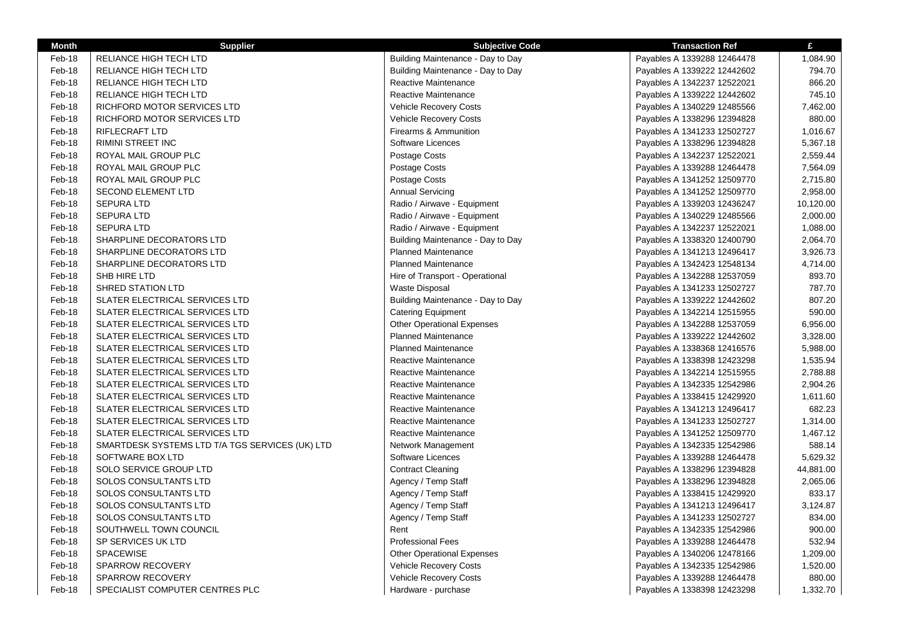| <b>Month</b> | <b>Supplier</b>                                 | <b>Subjective Code</b>            | <b>Transaction Ref</b>      | £         |
|--------------|-------------------------------------------------|-----------------------------------|-----------------------------|-----------|
| Feb-18       | RELIANCE HIGH TECH LTD                          | Building Maintenance - Day to Day | Payables A 1339288 12464478 | 1,084.90  |
| Feb-18       | RELIANCE HIGH TECH LTD                          | Building Maintenance - Day to Day | Payables A 1339222 12442602 | 794.70    |
| Feb-18       | RELIANCE HIGH TECH LTD                          | Reactive Maintenance              | Payables A 1342237 12522021 | 866.20    |
| Feb-18       | RELIANCE HIGH TECH LTD                          | Reactive Maintenance              | Payables A 1339222 12442602 | 745.10    |
| Feb-18       | RICHFORD MOTOR SERVICES LTD                     | <b>Vehicle Recovery Costs</b>     | Payables A 1340229 12485566 | 7,462.00  |
| Feb-18       | RICHFORD MOTOR SERVICES LTD                     | <b>Vehicle Recovery Costs</b>     | Payables A 1338296 12394828 | 880.00    |
| Feb-18       | <b>RIFLECRAFT LTD</b>                           | Firearms & Ammunition             | Payables A 1341233 12502727 | 1,016.67  |
| Feb-18       | RIMINI STREET INC                               | Software Licences                 | Payables A 1338296 12394828 | 5,367.18  |
| Feb-18       | ROYAL MAIL GROUP PLC                            | Postage Costs                     | Payables A 1342237 12522021 | 2,559.44  |
| Feb-18       | ROYAL MAIL GROUP PLC                            | Postage Costs                     | Payables A 1339288 12464478 | 7,564.09  |
| Feb-18       | ROYAL MAIL GROUP PLC                            | Postage Costs                     | Payables A 1341252 12509770 | 2,715.80  |
| Feb-18       | <b>SECOND ELEMENT LTD</b>                       | <b>Annual Servicing</b>           | Payables A 1341252 12509770 | 2,958.00  |
| Feb-18       | <b>SEPURA LTD</b>                               | Radio / Airwave - Equipment       | Payables A 1339203 12436247 | 10,120.00 |
| Feb-18       | <b>SEPURA LTD</b>                               | Radio / Airwave - Equipment       | Payables A 1340229 12485566 | 2,000.00  |
| Feb-18       | SEPURA LTD                                      | Radio / Airwave - Equipment       | Payables A 1342237 12522021 | 1,088.00  |
| Feb-18       | SHARPLINE DECORATORS LTD                        | Building Maintenance - Day to Day | Payables A 1338320 12400790 | 2,064.70  |
| Feb-18       | SHARPLINE DECORATORS LTD                        | <b>Planned Maintenance</b>        | Payables A 1341213 12496417 | 3,926.73  |
| Feb-18       | SHARPLINE DECORATORS LTD                        | <b>Planned Maintenance</b>        | Payables A 1342423 12548134 | 4,714.00  |
| Feb-18       | SHB HIRE LTD                                    | Hire of Transport - Operational   | Payables A 1342288 12537059 | 893.70    |
| Feb-18       | SHRED STATION LTD                               | <b>Waste Disposal</b>             | Payables A 1341233 12502727 | 787.70    |
| Feb-18       | SLATER ELECTRICAL SERVICES LTD                  | Building Maintenance - Day to Day | Payables A 1339222 12442602 | 807.20    |
| Feb-18       | SLATER ELECTRICAL SERVICES LTD                  | <b>Catering Equipment</b>         | Payables A 1342214 12515955 | 590.00    |
| Feb-18       | SLATER ELECTRICAL SERVICES LTD                  | <b>Other Operational Expenses</b> | Payables A 1342288 12537059 | 6,956.00  |
| Feb-18       | <b>SLATER ELECTRICAL SERVICES LTD</b>           | <b>Planned Maintenance</b>        | Payables A 1339222 12442602 | 3,328.00  |
| Feb-18       | <b>SLATER ELECTRICAL SERVICES LTD</b>           | <b>Planned Maintenance</b>        | Payables A 1338368 12416576 | 5,988.00  |
| Feb-18       | SLATER ELECTRICAL SERVICES LTD                  | Reactive Maintenance              | Payables A 1338398 12423298 | 1,535.94  |
| Feb-18       | SLATER ELECTRICAL SERVICES LTD                  | Reactive Maintenance              | Payables A 1342214 12515955 | 2,788.88  |
| Feb-18       | SLATER ELECTRICAL SERVICES LTD                  | Reactive Maintenance              | Payables A 1342335 12542986 | 2,904.26  |
| Feb-18       | SLATER ELECTRICAL SERVICES LTD                  | Reactive Maintenance              |                             | 1,611.60  |
| Feb-18       |                                                 | Reactive Maintenance              | Payables A 1338415 12429920 | 682.23    |
| Feb-18       | SLATER ELECTRICAL SERVICES LTD                  | Reactive Maintenance              | Payables A 1341213 12496417 | 1,314.00  |
| Feb-18       | <b>SLATER ELECTRICAL SERVICES LTD</b>           |                                   | Payables A 1341233 12502727 | 1,467.12  |
|              | <b>SLATER ELECTRICAL SERVICES LTD</b>           | Reactive Maintenance              | Payables A 1341252 12509770 |           |
| Feb-18       | SMARTDESK SYSTEMS LTD T/A TGS SERVICES (UK) LTD | Network Management                | Payables A 1342335 12542986 | 588.14    |
| Feb-18       | SOFTWARE BOX LTD                                | Software Licences                 | Payables A 1339288 12464478 | 5,629.32  |
| Feb-18       | SOLO SERVICE GROUP LTD                          | <b>Contract Cleaning</b>          | Payables A 1338296 12394828 | 44,881.00 |
| Feb-18       | SOLOS CONSULTANTS LTD                           | Agency / Temp Staff               | Payables A 1338296 12394828 | 2,065.06  |
| Feb-18       | SOLOS CONSULTANTS LTD                           | Agency / Temp Staff               | Payables A 1338415 12429920 | 833.17    |
| Feb-18       | SOLOS CONSULTANTS LTD                           | Agency / Temp Staff               | Payables A 1341213 12496417 | 3,124.87  |
| Feb-18       | SOLOS CONSULTANTS LTD                           | Agency / Temp Staff               | Payables A 1341233 12502727 | 834.00    |
| Feb-18       | SOUTHWELL TOWN COUNCIL                          | Rent                              | Payables A 1342335 12542986 | 900.00    |
| Feb-18       | SP SERVICES UK LTD                              | <b>Professional Fees</b>          | Payables A 1339288 12464478 | 532.94    |
| Feb-18       | <b>SPACEWISE</b>                                | <b>Other Operational Expenses</b> | Payables A 1340206 12478166 | 1,209.00  |
| Feb-18       | <b>SPARROW RECOVERY</b>                         | Vehicle Recovery Costs            | Payables A 1342335 12542986 | 1,520.00  |
| Feb-18       | <b>SPARROW RECOVERY</b>                         | <b>Vehicle Recovery Costs</b>     | Payables A 1339288 12464478 | 880.00    |
| Feb-18       | SPECIALIST COMPUTER CENTRES PLC                 | Hardware - purchase               | Payables A 1338398 12423298 | 1,332.70  |